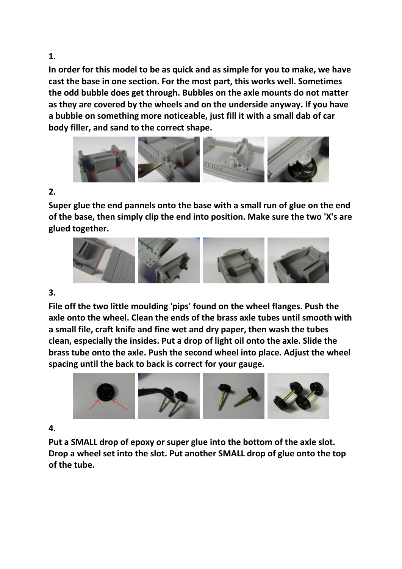**1.** 

**In order for this model to be as quick and as simple for you to make, we have cast the base in one section. For the most part, this works well. Sometimes the odd bubble does get through. Bubbles on the axle mounts do not matter as they are covered by the wheels and on the underside anyway. If you have a bubble on something more noticeable, just fill it with a small dab of car body filler, and sand to the correct shape.**



## **2.**

**Super glue the end pannels onto the base with a small run of glue on the end of the base, then simply clip the end into position. Make sure the two 'X's are glued together.**



## **3.**

**File off the two little moulding 'pips' found on the wheel flanges. Push the axle onto the wheel. Clean the ends of the brass axle tubes until smooth with a small file, craft knife and fine wet and dry paper, then wash the tubes clean, especially the insides. Put a drop of light oil onto the axle. Slide the brass tube onto the axle. Push the second wheel into place. Adjust the wheel spacing until the back to back is correct for your gauge.**



## **4.**

**Put a SMALL drop of epoxy or super glue into the bottom of the axle slot. Drop a wheel set into the slot. Put another SMALL drop of glue onto the top of the tube.**